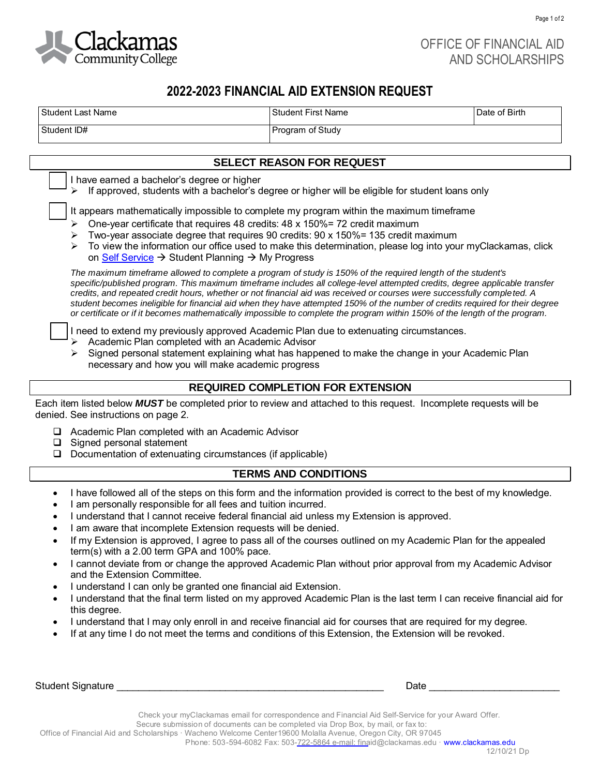

Page 1 of 2

# **2022-2023 FINANCIAL AID EXTENSION REQUEST**

| <b>Student Last Name</b>                                                                                                                                                                                                                                                                                                                                                                               | <b>Student First Name</b>                                                                                                                                                                                                                                                                                                                                                                                                                                                                                                                                                                                                              | Date of Birth |
|--------------------------------------------------------------------------------------------------------------------------------------------------------------------------------------------------------------------------------------------------------------------------------------------------------------------------------------------------------------------------------------------------------|----------------------------------------------------------------------------------------------------------------------------------------------------------------------------------------------------------------------------------------------------------------------------------------------------------------------------------------------------------------------------------------------------------------------------------------------------------------------------------------------------------------------------------------------------------------------------------------------------------------------------------------|---------------|
| Student ID#                                                                                                                                                                                                                                                                                                                                                                                            | Program of Study                                                                                                                                                                                                                                                                                                                                                                                                                                                                                                                                                                                                                       |               |
| SELECT REASON FOR REQUEST<br>I have earned a bachelor's degree or higher<br>If approved, students with a bachelor's degree or higher will be eligible for student loans only                                                                                                                                                                                                                           |                                                                                                                                                                                                                                                                                                                                                                                                                                                                                                                                                                                                                                        |               |
|                                                                                                                                                                                                                                                                                                                                                                                                        |                                                                                                                                                                                                                                                                                                                                                                                                                                                                                                                                                                                                                                        |               |
|                                                                                                                                                                                                                                                                                                                                                                                                        | The maximum timeframe allowed to complete a program of study is 150% of the required length of the student's<br>specific/published program. This maximum timeframe includes all college-level attempted credits, degree applicable transfer<br>credits, and repeated credit hours, whether or not financial aid was received or courses were successfully completed. A<br>student becomes ineligible for financial aid when they have attempted 150% of the number of credits required for their degree<br>or certificate or if it becomes mathematically impossible to complete the program within 150% of the length of the program. |               |
| I need to extend my previously approved Academic Plan due to extenuating circumstances.<br>Academic Plan completed with an Academic Advisor<br>Signed personal statement explaining what has happened to make the change in your Academic Plan<br>necessary and how you will make academic progress                                                                                                    |                                                                                                                                                                                                                                                                                                                                                                                                                                                                                                                                                                                                                                        |               |
| <b>REQUIRED COMPLETION FOR EXTENSION</b>                                                                                                                                                                                                                                                                                                                                                               |                                                                                                                                                                                                                                                                                                                                                                                                                                                                                                                                                                                                                                        |               |
| Each item listed below MUST be completed prior to review and attached to this request. Incomplete requests will be<br>denied. See instructions on page 2.                                                                                                                                                                                                                                              |                                                                                                                                                                                                                                                                                                                                                                                                                                                                                                                                                                                                                                        |               |
| $\Box$ Academic Plan completed with an Academic Advisor<br>Signed personal statement<br>u<br>Documentation of extenuating circumstances (if applicable)<br>u                                                                                                                                                                                                                                           |                                                                                                                                                                                                                                                                                                                                                                                                                                                                                                                                                                                                                                        |               |
| <b>TERMS AND CONDITIONS</b>                                                                                                                                                                                                                                                                                                                                                                            |                                                                                                                                                                                                                                                                                                                                                                                                                                                                                                                                                                                                                                        |               |
| I have followed all of the steps on this form and the information provided is correct to the best of my knowledge.<br>$\bullet$<br>I am personally responsible for all fees and tuition incurred.<br>$\bullet$<br>I understand that I cannot receive federal financial aid unless my Extension is approved.<br>$\bullet$<br>I am aware that incomplete Extension requests will be denied.<br>$\bullet$ |                                                                                                                                                                                                                                                                                                                                                                                                                                                                                                                                                                                                                                        |               |
| If my Extension is approved, I agree to pass all of the courses outlined on my Academic Plan for the appealed<br>term(s) with a 2.00 term GPA and 100% pace.                                                                                                                                                                                                                                           |                                                                                                                                                                                                                                                                                                                                                                                                                                                                                                                                                                                                                                        |               |
| I cannot deviate from or change the approved Academic Plan without prior approval from my Academic Advisor<br>$\bullet$<br>and the Extension Committee.                                                                                                                                                                                                                                                |                                                                                                                                                                                                                                                                                                                                                                                                                                                                                                                                                                                                                                        |               |
| I understand I can only be granted one financial aid Extension.<br>٠<br>I understand that the final term listed on my approved Academic Plan is the last term I can receive financial aid for<br>$\bullet$<br>this degree.                                                                                                                                                                             |                                                                                                                                                                                                                                                                                                                                                                                                                                                                                                                                                                                                                                        |               |
| I understand that I may only enroll in and receive financial aid for courses that are required for my degree.<br>$\bullet$<br>If at any time I do not meet the terms and conditions of this Extension, the Extension will be revoked.<br>$\bullet$                                                                                                                                                     |                                                                                                                                                                                                                                                                                                                                                                                                                                                                                                                                                                                                                                        |               |

Student Signature \_\_\_\_\_\_\_\_\_\_\_\_\_\_\_\_\_\_\_\_\_\_\_\_\_\_\_\_\_\_\_\_\_\_\_\_\_\_\_\_\_\_\_\_\_\_\_\_\_ Date \_\_\_\_\_\_\_\_\_\_\_\_\_\_\_\_\_\_\_\_\_\_\_\_

Check your myClackamas email for correspondence and Financial Aid Self-Service for your Award Offer. Secure submission of documents can be completed via Drop Box, by mail, or fax to: